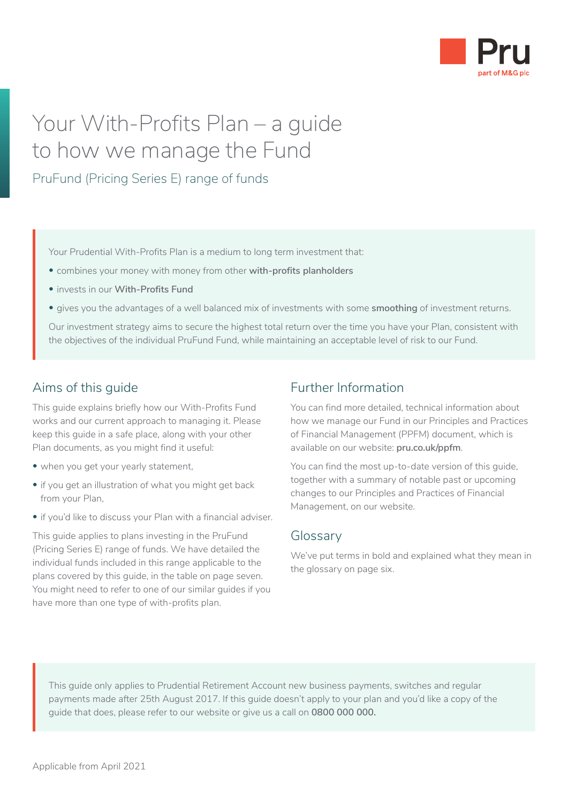

## Your With-Profits Plan – a guide to how we manage the Fund

PruFund (Pricing Series E) range of funds

Your Prudential With-Profits Plan is a medium to long term investment that:

- combines your money with money from other **with-profits planholders**
- invests in our **With-Profits Fund**
- gives you the advantages of a well balanced mix of investments with some **smoothing** of investment returns.

Our investment strategy aims to secure the highest total return over the time you have your Plan, consistent with the objectives of the individual PruFund Fund, while maintaining an acceptable level of risk to our Fund.

## Aims of this guide

This guide explains briefly how our With-Profits Fund works and our current approach to managing it. Please keep this guide in a safe place, along with your other Plan documents, as you might find it useful:

- when you get your yearly statement,
- if you get an illustration of what you might get back from your Plan,
- if you'd like to discuss your Plan with a financial adviser.

This guide applies to plans investing in the PruFund (Pricing Series E) range of funds. We have detailed the individual funds included in this range applicable to the plans covered by this guide, in the table on page seven. You might need to refer to one of our similar guides if you have more than one type of with-profits plan.

## Further Information

You can find more detailed, technical information about how we manage our Fund in our Principles and Practices of Financial Management (PPFM) document, which is available on our website: **[pru.co.uk/ppfm](https://www.pru.co.uk/ppfm)**.

You can find the most up-to-date version of this guide, together with a summary of notable past or upcoming changes to our Principles and Practices of Financial Management, on our website.

#### **Glossary**

We've put terms in bold and explained what they mean in the glossary on page six.

This guide only applies to Prudential Retirement Account new business payments, switches and regular payments made after 25th August 2017. If this guide doesn't apply to your plan and you'd like a copy of the guide that does, please refer to our website or give us a call on **0800 000 000.**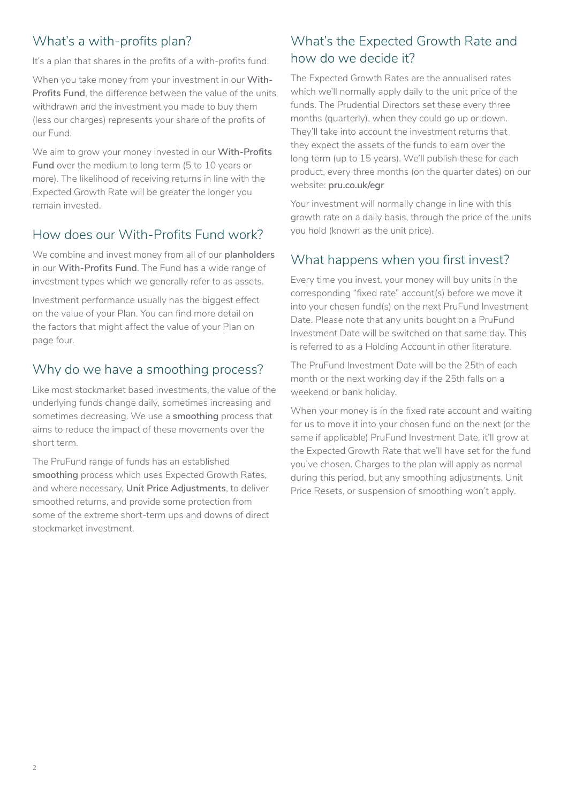## What's a with-profits plan?

It's a plan that shares in the profits of a with-profits fund.

When you take money from your investment in our **With-Profits Fund**, the difference between the value of the units withdrawn and the investment you made to buy them (less our charges) represents your share of the profits of our Fund.

We aim to grow your money invested in our **With-Profits Fund** over the medium to long term (5 to 10 years or more). The likelihood of receiving returns in line with the Expected Growth Rate will be greater the longer you remain invested.

## How does our With-Profits Fund work?

We combine and invest money from all of our **planholders** in our **With-Profits Fund**. The Fund has a wide range of investment types which we generally refer to as assets.

Investment performance usually has the biggest effect on the value of your Plan. You can find more detail on the factors that might affect the value of your Plan on page four.

## Why do we have a smoothing process?

Like most stockmarket based investments, the value of the underlying funds change daily, sometimes increasing and sometimes decreasing. We use a **smoothing** process that aims to reduce the impact of these movements over the short term.

The PruFund range of funds has an established **smoothing** process which uses Expected Growth Rates, and where necessary, **Unit Price Adjustments**, to deliver smoothed returns, and provide some protection from some of the extreme short-term ups and downs of direct stockmarket investment.

## What's the Expected Growth Rate and how do we decide it?

The Expected Growth Rates are the annualised rates which we'll normally apply daily to the unit price of the funds. The Prudential Directors set these every three months (quarterly), when they could go up or down. They'll take into account the investment returns that they expect the assets of the funds to earn over the long term (up to 15 years). We'll publish these for each product, every three months (on the quarter dates) on our website: **[pru.co.uk/egr](https://www.pru.co.uk/egr)**

Your investment will normally change in line with this growth rate on a daily basis, through the price of the units you hold (known as the unit price).

## What happens when you first invest?

Every time you invest, your money will buy units in the corresponding "fixed rate" account(s) before we move it into your chosen fund(s) on the next PruFund Investment Date. Please note that any units bought on a PruFund Investment Date will be switched on that same day. This is referred to as a Holding Account in other literature.

The PruFund Investment Date will be the 25th of each month or the next working day if the 25th falls on a weekend or bank holiday.

When your money is in the fixed rate account and waiting for us to move it into your chosen fund on the next (or the same if applicable) PruFund Investment Date, it'll grow at the Expected Growth Rate that we'll have set for the fund you've chosen. Charges to the plan will apply as normal during this period, but any smoothing adjustments, Unit Price Resets, or suspension of smoothing won't apply.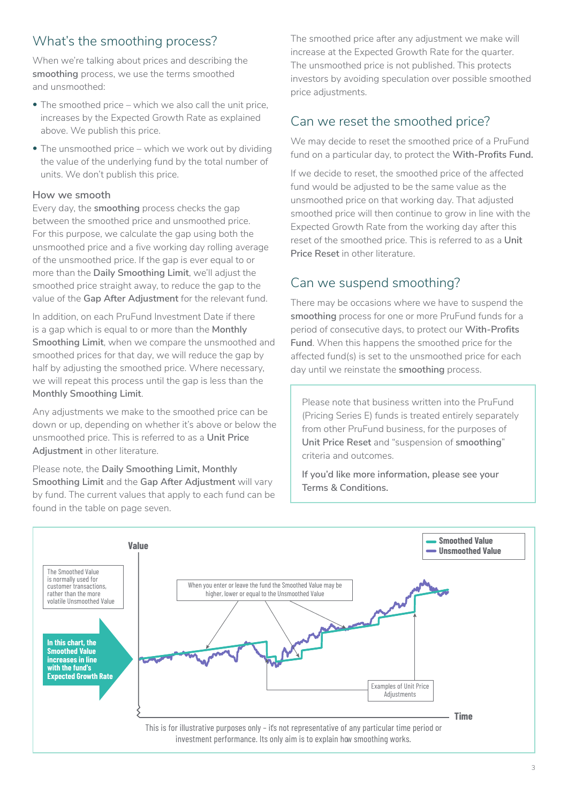## What's the smoothing process?

When we're talking about prices and describing the **smoothing** process, we use the terms smoothed and unsmoothed:

- The smoothed price which we also call the unit price, increases by the Expected Growth Rate as explained above. We publish this price.
- The unsmoothed price which we work out by dividing the value of the underlying fund by the total number of units. We don't publish this price.

#### **How we smooth**

Every day, the **smoothing** process checks the gap between the smoothed price and unsmoothed price. For this purpose, we calculate the gap using both the unsmoothed price and a five working day rolling average of the unsmoothed price. If the gap is ever equal to or more than the **Daily Smoothing Limit**, we'll adjust the smoothed price straight away, to reduce the gap to the value of the **Gap After Adjustment** for the relevant fund.

In addition, on each PruFund Investment Date if there is a gap which is equal to or more than the **Monthly Smoothing Limit**, when we compare the unsmoothed and smoothed prices for that day, we will reduce the gap by half by adjusting the smoothed price. Where necessary, we will repeat this process until the gap is less than the **Monthly Smoothing Limit**.

Any adjustments we make to the smoothed price can be down or up, depending on whether it's above or below the unsmoothed price. This is referred to as a **Unit Price Adjustment** in other literature.

Please note, the **Daily Smoothing Limit, Monthly Smoothing Limit** and the **Gap After Adjustment** will vary by fund. The current values that apply to each fund can be found in the table on page seven.

The smoothed price after any adjustment we make will increase at the Expected Growth Rate for the quarter. The unsmoothed price is not published. This protects investors by avoiding speculation over possible smoothed price adjustments.

## Can we reset the smoothed price?

We may decide to reset the smoothed price of a PruFund fund on a particular day, to protect the **With-Profits Fund.**

If we decide to reset, the smoothed price of the affected fund would be adjusted to be the same value as the unsmoothed price on that working day. That adjusted smoothed price will then continue to grow in line with the Expected Growth Rate from the working day after this reset of the smoothed price. This is referred to as a **Unit Price Reset** in other literature.

## Can we suspend smoothing?

There may be occasions where we have to suspend the **smoothing** process for one or more PruFund funds for a period of consecutive days, to protect our **With-Profits Fund**. When this happens the smoothed price for the affected fund(s) is set to the unsmoothed price for each day until we reinstate the **smoothing** process.

Please note that business written into the PruFund (Pricing Series E) funds is treated entirely separately from other PruFund business, for the purposes of **Unit Price Reset** and "suspension of **smoothing**" criteria and outcomes.

**If you'd like more information, please see your Terms & Conditions.**

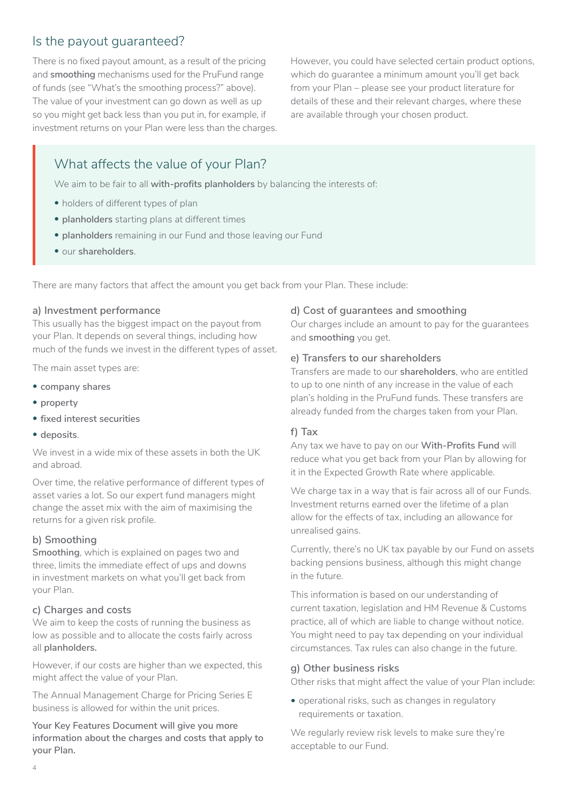## Is the payout guaranteed?

There is no fixed payout amount, as a result of the pricing and **smoothing** mechanisms used for the PruFund range of funds (see "What's the smoothing process?" above). The value of your investment can go down as well as up so you might get back less than you put in, for example, if investment returns on your Plan were less than the charges.

However, you could have selected certain product options, which do guarantee a minimum amount you'll get back from your Plan – please see your product literature for details of these and their relevant charges, where these are available through your chosen product.

## What affects the value of your Plan?

We aim to be fair to all **with-profits planholders** by balancing the interests of:

- holders of different types of plan
- **planholders** starting plans at different times
- **planholders** remaining in our Fund and those leaving our Fund
- our **shareholders**.

There are many factors that affect the amount you get back from your Plan. These include:

#### **a) Investment performance**

This usually has the biggest impact on the payout from your Plan. It depends on several things, including how much of the funds we invest in the different types of asset.

The main asset types are:

- **company shares**
- **property**
- **fixed interest securities**
- **deposits**.

We invest in a wide mix of these assets in both the UK and abroad.

Over time, the relative performance of different types of asset varies a lot. So our expert fund managers might change the asset mix with the aim of maximising the returns for a given risk profile.

#### **b) Smoothing**

**Smoothing**, which is explained on pages two and three, limits the immediate effect of ups and downs in investment markets on what you'll get back from your Plan.

#### **c) Charges and costs**

We aim to keep the costs of running the business as low as possible and to allocate the costs fairly across all **planholders.**

However, if our costs are higher than we expected, this might affect the value of your Plan.

The Annual Management Charge for Pricing Series E business is allowed for within the unit prices.

**Your Key Features Document will give you more information about the charges and costs that apply to your Plan.**

#### **d) Cost of guarantees and smoothing**

Our charges include an amount to pay for the guarantees and **smoothing** you get.

#### **e) Transfers to our shareholders**

Transfers are made to our **shareholders**, who are entitled to up to one ninth of any increase in the value of each plan's holding in the PruFund funds. These transfers are already funded from the charges taken from your Plan.

#### **f) Tax**

Any tax we have to pay on our **With-Profits Fund** will reduce what you get back from your Plan by allowing for it in the Expected Growth Rate where applicable.

We charge tax in a way that is fair across all of our Funds. Investment returns earned over the lifetime of a plan allow for the effects of tax, including an allowance for unrealised gains.

Currently, there's no UK tax payable by our Fund on assets backing pensions business, although this might change in the future.

This information is based on our understanding of current taxation, legislation and HM Revenue & Customs practice, all of which are liable to change without notice. You might need to pay tax depending on your individual circumstances. Tax rules can also change in the future.

#### **g) Other business risks**

Other risks that might affect the value of your Plan include:

• operational risks, such as changes in regulatory requirements or taxation.

We regularly review risk levels to make sure they're acceptable to our Fund.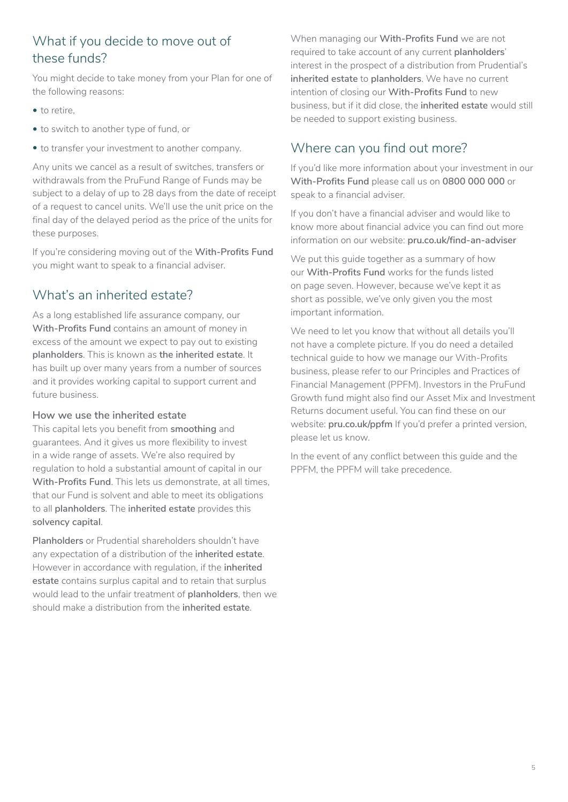## What if you decide to move out of these funds?

You might decide to take money from your Plan for one of the following reasons:

- to retire,
- to switch to another type of fund, or
- to transfer your investment to another company.

Any units we cancel as a result of switches, transfers or withdrawals from the PruFund Range of Funds may be subject to a delay of up to 28 days from the date of receipt of a request to cancel units. We'll use the unit price on the final day of the delayed period as the price of the units for these purposes.

If you're considering moving out of the **With-Profits Fund** you might want to speak to a financial adviser.

## What's an inherited estate?

As a long established life assurance company, our **With-Profits Fund** contains an amount of money in excess of the amount we expect to pay out to existing **planholders**. This is known as **the inherited estate**. It has built up over many years from a number of sources and it provides working capital to support current and future business.

#### **How we use the inherited estate**

This capital lets you benefit from **smoothing** and guarantees. And it gives us more flexibility to invest in a wide range of assets. We're also required by regulation to hold a substantial amount of capital in our **With-Profits Fund**. This lets us demonstrate, at all times, that our Fund is solvent and able to meet its obligations to all **planholders**. The **inherited estate** provides this **solvency capital**.

**Planholders** or Prudential shareholders shouldn't have any expectation of a distribution of the **inherited estate**. However in accordance with regulation, if the **inherited estate** contains surplus capital and to retain that surplus would lead to the unfair treatment of **planholders**, then we should make a distribution from the **inherited estate**.

When managing our **With-Profits Fund** we are not required to take account of any current **planholders**' interest in the prospect of a distribution from Prudential's **inherited estate** to **planholders**. We have no current intention of closing our **With-Profits Fund** to new business, but if it did close, the **inherited estate** would still be needed to support existing business.

## Where can you find out more?

If you'd like more information about your investment in our **With-Profits Fund** please call us on **0800 000 000** or speak to a financial adviser.

If you don't have a financial adviser and would like to know more about financial advice you can find out more information on our website: **[pru.co.uk/find-an-adviser](http://pru.co.uk/find-an-adviser)**

We put this quide together as a summary of how our **With-Profits Fund** works for the funds listed on page seven. However, because we've kept it as short as possible, we've only given you the most important information.

We need to let you know that without all details you'll not have a complete picture. If you do need a detailed technical guide to how we manage our With-Profits business, please refer to our Principles and Practices of Financial Management (PPFM). Investors in the PruFund Growth fund might also find our Asset Mix and Investment Returns document useful. You can find these on our website: **[pru.co.uk/ppfm](https://www.pru.co.uk/ppfm)** If you'd prefer a printed version, please let us know.

In the event of any conflict between this guide and the PPFM, the PPFM will take precedence.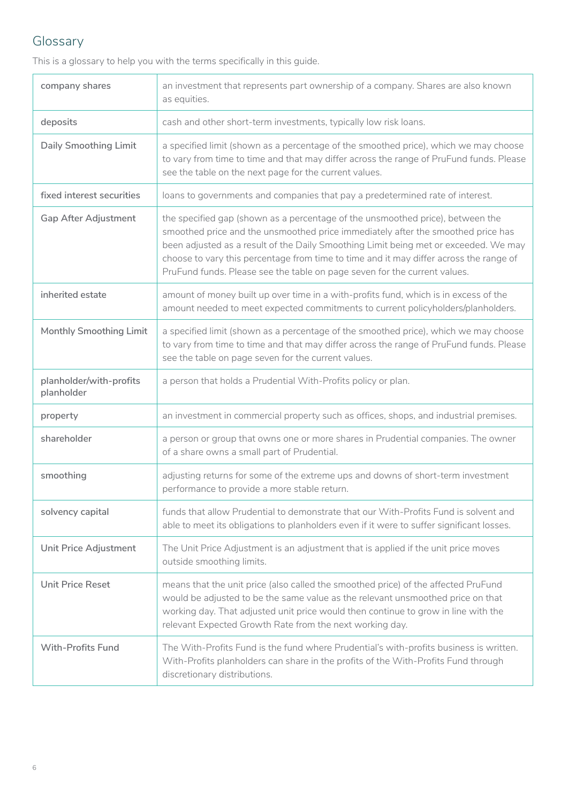## Glossary

This is a glossary to help you with the terms specifically in this guide.

| company shares                        | an investment that represents part ownership of a company. Shares are also known<br>as equities.                                                                                                                                                                                                                                                                                                                                  |  |
|---------------------------------------|-----------------------------------------------------------------------------------------------------------------------------------------------------------------------------------------------------------------------------------------------------------------------------------------------------------------------------------------------------------------------------------------------------------------------------------|--|
| deposits                              | cash and other short-term investments, typically low risk loans.                                                                                                                                                                                                                                                                                                                                                                  |  |
| <b>Daily Smoothing Limit</b>          | a specified limit (shown as a percentage of the smoothed price), which we may choose<br>to vary from time to time and that may differ across the range of PruFund funds. Please<br>see the table on the next page for the current values.                                                                                                                                                                                         |  |
| fixed interest securities             | loans to governments and companies that pay a predetermined rate of interest.                                                                                                                                                                                                                                                                                                                                                     |  |
| <b>Gap After Adjustment</b>           | the specified gap (shown as a percentage of the unsmoothed price), between the<br>smoothed price and the unsmoothed price immediately after the smoothed price has<br>been adjusted as a result of the Daily Smoothing Limit being met or exceeded. We may<br>choose to vary this percentage from time to time and it may differ across the range of<br>PruFund funds. Please see the table on page seven for the current values. |  |
| inherited estate                      | amount of money built up over time in a with-profits fund, which is in excess of the<br>amount needed to meet expected commitments to current policyholders/planholders.                                                                                                                                                                                                                                                          |  |
| Monthly Smoothing Limit               | a specified limit (shown as a percentage of the smoothed price), which we may choose<br>to vary from time to time and that may differ across the range of PruFund funds. Please<br>see the table on page seven for the current values.                                                                                                                                                                                            |  |
| planholder/with-profits<br>planholder | a person that holds a Prudential With-Profits policy or plan.                                                                                                                                                                                                                                                                                                                                                                     |  |
| property                              | an investment in commercial property such as offices, shops, and industrial premises.                                                                                                                                                                                                                                                                                                                                             |  |
| shareholder                           | a person or group that owns one or more shares in Prudential companies. The owner<br>of a share owns a small part of Prudential.                                                                                                                                                                                                                                                                                                  |  |
| smoothing                             | adjusting returns for some of the extreme ups and downs of short-term investment<br>performance to provide a more stable return.                                                                                                                                                                                                                                                                                                  |  |
| solvency capital                      | funds that allow Prudential to demonstrate that our With-Profits Fund is solvent and<br>able to meet its obligations to planholders even if it were to suffer significant losses.                                                                                                                                                                                                                                                 |  |
| Unit Price Adjustment                 | The Unit Price Adjustment is an adjustment that is applied if the unit price moves<br>outside smoothing limits.                                                                                                                                                                                                                                                                                                                   |  |
| <b>Unit Price Reset</b>               | means that the unit price (also called the smoothed price) of the affected PruFund<br>would be adjusted to be the same value as the relevant unsmoothed price on that<br>working day. That adjusted unit price would then continue to grow in line with the<br>relevant Expected Growth Rate from the next working day.                                                                                                           |  |
| <b>With-Profits Fund</b>              | The With-Profits Fund is the fund where Prudential's with-profits business is written.<br>With-Profits planholders can share in the profits of the With-Profits Fund through<br>discretionary distributions.                                                                                                                                                                                                                      |  |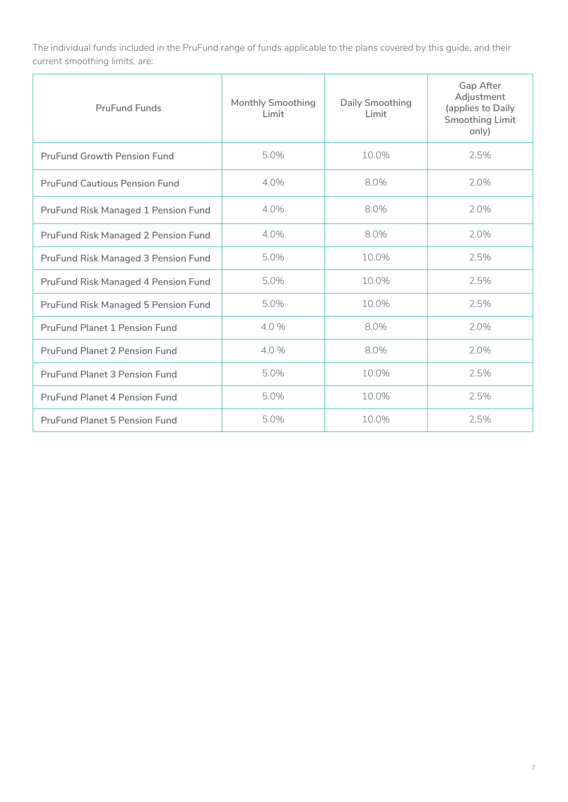The individual funds included in the PruFund range of funds applicable to the plans covered by this guide, and their current smoothing limits, are:

| <b>PruFund Funds</b>                       | <b>Monthly Smoothing</b><br>Limit | <b>Daily Smoothing</b><br>Limit | Gap After<br>Adjustment<br>(applies to Daily<br><b>Smoothing Limit</b><br>only) |
|--------------------------------------------|-----------------------------------|---------------------------------|---------------------------------------------------------------------------------|
| <b>PruFund Growth Pension Fund</b>         | 5.0%                              | 10.0%                           | 2.5%                                                                            |
| <b>PruFund Cautious Pension Fund</b>       | 4.0%                              | 8.0%                            | 2.0%                                                                            |
| <b>PruFund Risk Managed 1 Pension Fund</b> | 4.0%                              | 8.0%                            | 2.0%                                                                            |
| <b>PruFund Risk Managed 2 Pension Fund</b> | 4.0%                              | 8.0%                            | 2.0%                                                                            |
| <b>PruFund Risk Managed 3 Pension Fund</b> | 5.0%                              | 10.0%                           | 2.5%                                                                            |
| <b>PruFund Risk Managed 4 Pension Fund</b> | 5.0%                              | 10.0%                           | 2.5%                                                                            |
| PruFund Risk Managed 5 Pension Fund        | 5.0%                              | 10.0%                           | 2.5%                                                                            |
| <b>PruFund Planet 1 Pension Fund</b>       | 4.0 %                             | 8.0%                            | 2.0%                                                                            |
| <b>PruFund Planet 2 Pension Fund</b>       | 4.0 %                             | 8.0%                            | 2.0%                                                                            |
| <b>PruFund Planet 3 Pension Fund</b>       | 5.0%                              | 10.0%                           | 2.5%                                                                            |
| PruFund Planet 4 Pension Fund              | 5.0%                              | 10.0%                           | 2.5%                                                                            |
| <b>PruFund Planet 5 Pension Fund</b>       | 5.0%                              | $10.0\%$                        | 2.5%                                                                            |